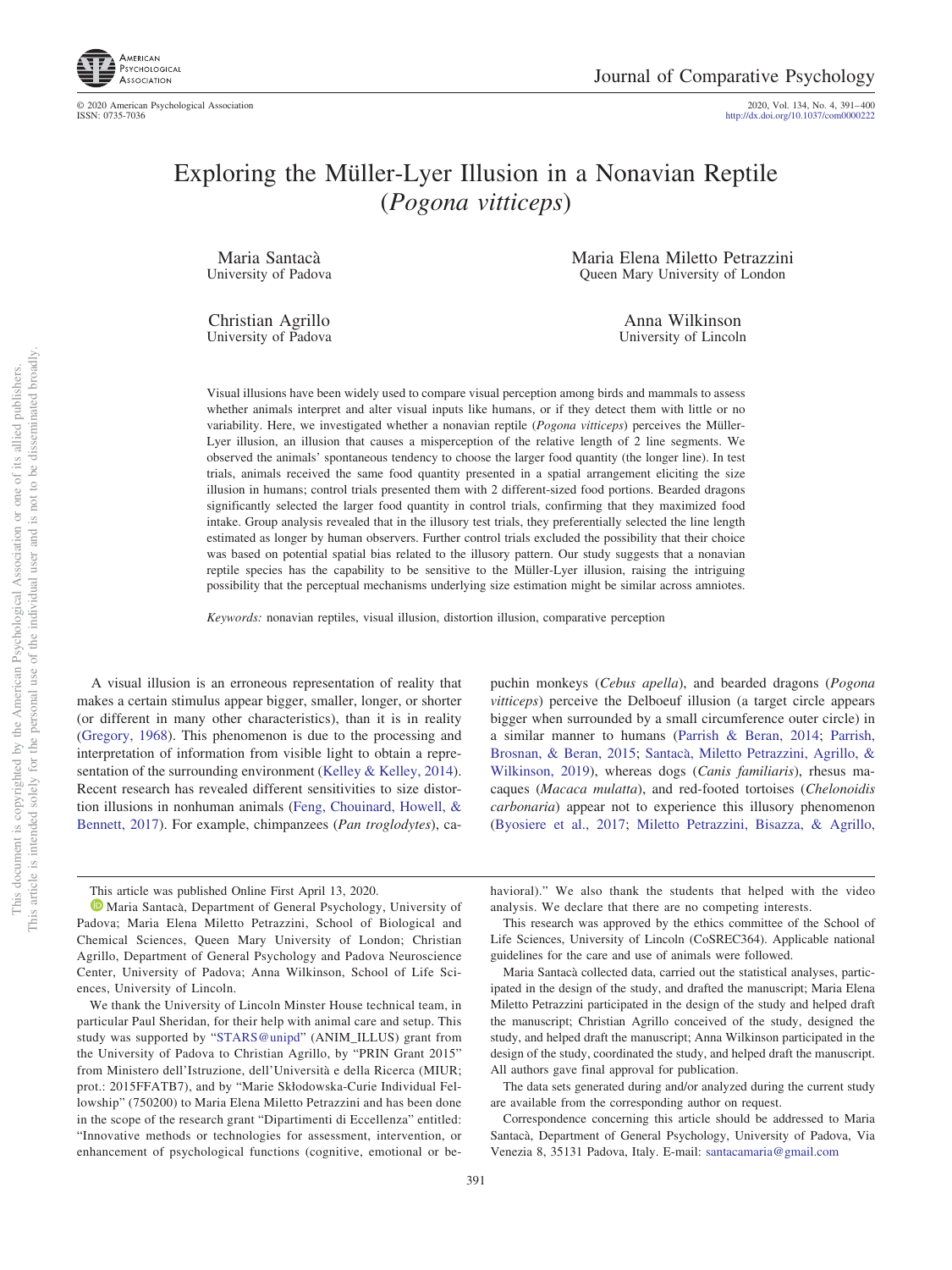

2020, Vol. 134, No. 4, 391-400<br>http://dx.doi.org/10.1037/com0000222

# Exploring the Müller-Lyer Illusion in a Nonavian Reptile (*Pogona vitticeps*)

Maria Santacà University of Padova

Christian Agrillo University of Padova Maria Elena Miletto Petrazzini Queen Mary University of London

> Anna Wilkinson University of Lincoln

Visual illusions have been widely used to compare visual perception among birds and mammals to assess whether animals interpret and alter visual inputs like humans, or if they detect them with little or no variability. Here, we investigated whether a nonavian reptile (*Pogona vitticeps*) perceives the Müller-Lyer illusion, an illusion that causes a misperception of the relative length of 2 line segments. We observed the animals' spontaneous tendency to choose the larger food quantity (the longer line). In test trials, animals received the same food quantity presented in a spatial arrangement eliciting the size illusion in humans; control trials presented them with 2 different-sized food portions. Bearded dragons significantly selected the larger food quantity in control trials, confirming that they maximized food intake. Group analysis revealed that in the illusory test trials, they preferentially selected the line length estimated as longer by human observers. Further control trials excluded the possibility that their choice was based on potential spatial bias related to the illusory pattern. Our study suggests that a nonavian reptile species has the capability to be sensitive to the Müller-Lyer illusion, raising the intriguing possibility that the perceptual mechanisms underlying size estimation might be similar across amniotes.

*Keywords:* nonavian reptiles, visual illusion, distortion illusion, comparative perception

A visual illusion is an erroneous representation of reality that makes a certain stimulus appear bigger, smaller, longer, or shorter (or different in many other characteristics), than it is in reality (Gregory, 1968). This phenomenon is due to the processing and interpretation of information from visible light to obtain a representation of the surrounding environment (Kelley & Kelley, 2014). Recent research has revealed different sensitivities to size distortion illusions in nonhuman animals (Feng, Chouinard, Howell, & Bennett, 2017). For example, chimpanzees (*Pan troglodytes*), ca-

puchin monkeys (*Cebus apella*), and bearded dragons (*Pogona vitticeps*) perceive the Delboeuf illusion (a target circle appears bigger when surrounded by a small circumference outer circle) in a similar manner to humans (Parrish & Beran, 2014; Parrish, Brosnan, & Beran, 2015; Santacà, Miletto Petrazzini, Agrillo, & Wilkinson, 2019), whereas dogs (*Canis familiaris*), rhesus macaques (*Macaca mulatta*), and red-footed tortoises (*Chelonoidis carbonaria*) appear not to experience this illusory phenomenon (Byosiere et al., 2017; Miletto Petrazzini, Bisazza, & Agrillo,

This article was published Online First April 13, 2020.

havioral)." We also thank the students that helped with the video analysis. We declare that there are no competing interests.

This research was approved by the ethics committee of the School of Life Sciences, University of Lincoln (CoSREC364). Applicable national guidelines for the care and use of animals were followed.

Maria Santaca` collected data, carried out the statistical analyses, participated in the design of the study, and drafted the manuscript; Maria Elena Miletto Petrazzini participated in the design of the study and helped draft the manuscript; Christian Agrillo conceived of the study, designed the study, and helped draft the manuscript; Anna Wilkinson participated in the design of the study, coordinated the study, and helped draft the manuscript. All authors gave final approval for publication.

The data sets generated during and/or analyzed during the current study are available from the corresponding author on request.

Correspondence concerning this article should be addressed to Maria Santaca, Department of General Psychology, University of Padova, Via Venezia 8, 35131 Padova, Italy. E-mail: santacamaria@gmail.com

<sup>&</sup>lt;sup>1</sup> Maria Santacà, Department of General Psychology, University of Padova; Maria Elena Miletto Petrazzini, School of Biological and Chemical Sciences, Queen Mary University of London; Christian Agrillo, Department of General Psychology and Padova Neuroscience Center, University of Padova; Anna Wilkinson, School of Life Sciences, University of Lincoln.

We thank the University of Lincoln Minster House technical team, in particular Paul Sheridan, for their help with animal care and setup. This study was supported by "STARS@unipd" (ANIM\_ILLUS) grant from the University of Padova to Christian Agrillo, by "PRIN Grant 2015" from Ministero dell'Istruzione, dell'Universita` e della Ricerca (MIUR; prot.: 2015FFATB7), and by "Marie Skłodowska-Curie Individual Fellowship" (750200) to Maria Elena Miletto Petrazzini and has been done in the scope of the research grant "Dipartimenti di Eccellenza" entitled: "Innovative methods or technologies for assessment, intervention, or enhancement of psychological functions (cognitive, emotional or be-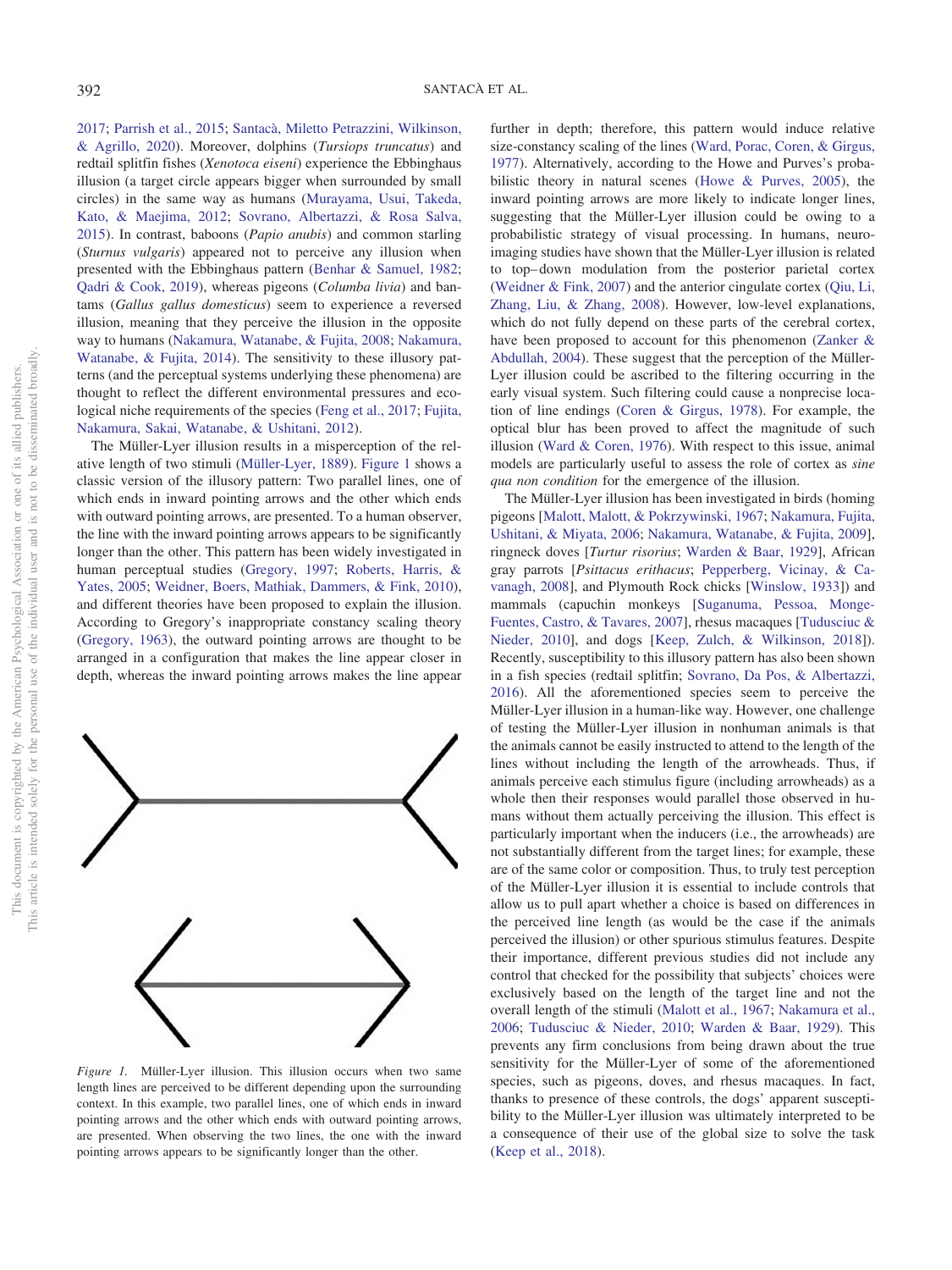2017; Parrish et al., 2015; Santacà, Miletto Petrazzini, Wilkinson, & Agrillo, 2020). Moreover, dolphins (*Tursiops truncatus*) and redtail splitfin fishes (*Xenotoca eiseni*) experience the Ebbinghaus illusion (a target circle appears bigger when surrounded by small circles) in the same way as humans (Murayama, Usui, Takeda, Kato, & Maejima, 2012; Sovrano, Albertazzi, & Rosa Salva, 2015). In contrast, baboons (*Papio anubis*) and common starling (*Sturnus vulgaris*) appeared not to perceive any illusion when presented with the Ebbinghaus pattern (Benhar & Samuel, 1982; Qadri & Cook, 2019), whereas pigeons (*Columba livia*) and bantams (*Gallus gallus domesticus*) seem to experience a reversed illusion, meaning that they perceive the illusion in the opposite way to humans (Nakamura, Watanabe, & Fujita, 2008; Nakamura, Watanabe, & Fujita, 2014). The sensitivity to these illusory patterns (and the perceptual systems underlying these phenomena) are thought to reflect the different environmental pressures and ecological niche requirements of the species (Feng et al., 2017; Fujita, Nakamura, Sakai, Watanabe, & Ushitani, 2012).

The Müller-Lyer illusion results in a misperception of the relative length of two stimuli (Müller-Lyer, 1889). Figure 1 shows a classic version of the illusory pattern: Two parallel lines, one of which ends in inward pointing arrows and the other which ends with outward pointing arrows, are presented. To a human observer, the line with the inward pointing arrows appears to be significantly longer than the other. This pattern has been widely investigated in human perceptual studies (Gregory, 1997; Roberts, Harris, & Yates, 2005; Weidner, Boers, Mathiak, Dammers, & Fink, 2010), and different theories have been proposed to explain the illusion. According to Gregory's inappropriate constancy scaling theory (Gregory, 1963), the outward pointing arrows are thought to be arranged in a configuration that makes the line appear closer in depth, whereas the inward pointing arrows makes the line appear



*Figure 1.* Müller-Lyer illusion. This illusion occurs when two same length lines are perceived to be different depending upon the surrounding context. In this example, two parallel lines, one of which ends in inward pointing arrows and the other which ends with outward pointing arrows, are presented. When observing the two lines, the one with the inward pointing arrows appears to be significantly longer than the other.

further in depth; therefore, this pattern would induce relative size-constancy scaling of the lines (Ward, Porac, Coren, & Girgus, 1977). Alternatively, according to the Howe and Purves's probabilistic theory in natural scenes (Howe & Purves, 2005), the inward pointing arrows are more likely to indicate longer lines, suggesting that the Müller-Lyer illusion could be owing to a probabilistic strategy of visual processing. In humans, neuroimaging studies have shown that the Müller-Lyer illusion is related to top– down modulation from the posterior parietal cortex (Weidner & Fink, 2007) and the anterior cingulate cortex (Qiu, Li, Zhang, Liu, & Zhang, 2008). However, low-level explanations, which do not fully depend on these parts of the cerebral cortex, have been proposed to account for this phenomenon (Zanker & Abdullah, 2004). These suggest that the perception of the Müller-Lyer illusion could be ascribed to the filtering occurring in the early visual system. Such filtering could cause a nonprecise location of line endings (Coren & Girgus, 1978). For example, the optical blur has been proved to affect the magnitude of such illusion (Ward & Coren, 1976). With respect to this issue, animal models are particularly useful to assess the role of cortex as *sine qua non condition* for the emergence of the illusion.

The Müller-Lyer illusion has been investigated in birds (homing pigeons [Malott, Malott, & Pokrzywinski, 1967; Nakamura, Fujita, Ushitani, & Miyata, 2006; Nakamura, Watanabe, & Fujita, 2009], ringneck doves [*Turtur risorius*; Warden & Baar, 1929], African gray parrots [*Psittacus erithacus*; Pepperberg, Vicinay, & Cavanagh, 2008], and Plymouth Rock chicks [Winslow, 1933]) and mammals (capuchin monkeys [Suganuma, Pessoa, Monge-Fuentes, Castro, & Tavares, 2007], rhesus macaques [Tudusciuc & Nieder, 2010], and dogs [Keep, Zulch, & Wilkinson, 2018]). Recently, susceptibility to this illusory pattern has also been shown in a fish species (redtail splitfin; Sovrano, Da Pos, & Albertazzi, 2016). All the aforementioned species seem to perceive the Müller-Lyer illusion in a human-like way. However, one challenge of testing the Müller-Lyer illusion in nonhuman animals is that the animals cannot be easily instructed to attend to the length of the lines without including the length of the arrowheads. Thus, if animals perceive each stimulus figure (including arrowheads) as a whole then their responses would parallel those observed in humans without them actually perceiving the illusion. This effect is particularly important when the inducers (i.e., the arrowheads) are not substantially different from the target lines; for example, these are of the same color or composition. Thus, to truly test perception of the Müller-Lyer illusion it is essential to include controls that allow us to pull apart whether a choice is based on differences in the perceived line length (as would be the case if the animals perceived the illusion) or other spurious stimulus features. Despite their importance, different previous studies did not include any control that checked for the possibility that subjects' choices were exclusively based on the length of the target line and not the overall length of the stimuli (Malott et al., 1967; Nakamura et al., 2006; Tudusciuc & Nieder, 2010; Warden & Baar, 1929). This prevents any firm conclusions from being drawn about the true sensitivity for the Müller-Lyer of some of the aforementioned species, such as pigeons, doves, and rhesus macaques. In fact, thanks to presence of these controls, the dogs' apparent susceptibility to the Müller-Lyer illusion was ultimately interpreted to be a consequence of their use of the global size to solve the task (Keep et al., 2018).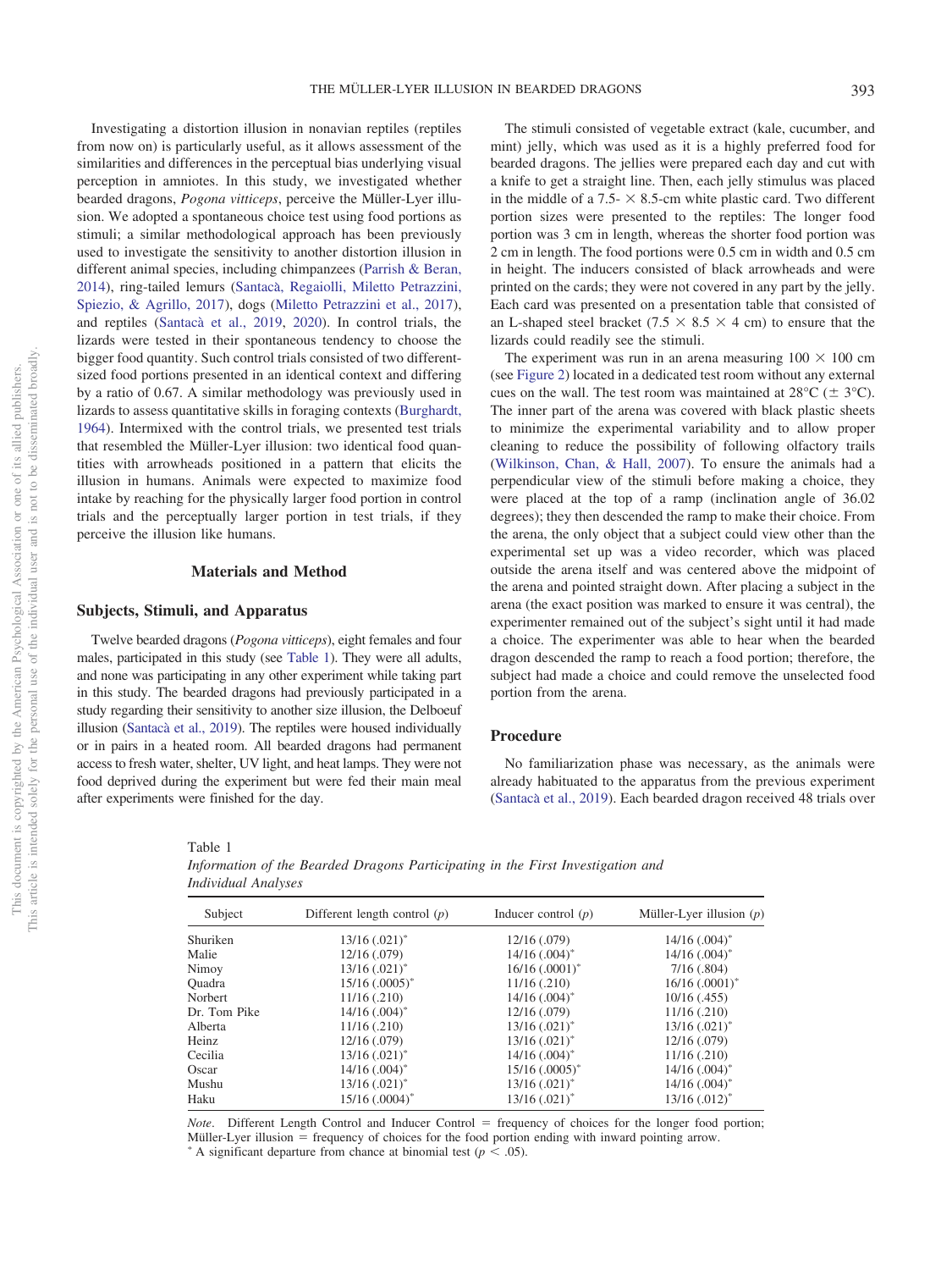Investigating a distortion illusion in nonavian reptiles (reptiles from now on) is particularly useful, as it allows assessment of the similarities and differences in the perceptual bias underlying visual perception in amniotes. In this study, we investigated whether bearded dragons, *Pogona vitticeps*, perceive the Müller-Lyer illusion. We adopted a spontaneous choice test using food portions as stimuli; a similar methodological approach has been previously used to investigate the sensitivity to another distortion illusion in different animal species, including chimpanzees (Parrish & Beran, 2014), ring-tailed lemurs (Santacà, Regaiolli, Miletto Petrazzini, Spiezio, & Agrillo, 2017), dogs (Miletto Petrazzini et al., 2017), and reptiles (Santacà et al., 2019, 2020). In control trials, the lizards were tested in their spontaneous tendency to choose the bigger food quantity. Such control trials consisted of two differentsized food portions presented in an identical context and differing by a ratio of 0.67. A similar methodology was previously used in lizards to assess quantitative skills in foraging contexts (Burghardt, 1964). Intermixed with the control trials, we presented test trials that resembled the Müller-Lyer illusion: two identical food quantities with arrowheads positioned in a pattern that elicits the illusion in humans. Animals were expected to maximize food intake by reaching for the physically larger food portion in control trials and the perceptually larger portion in test trials, if they perceive the illusion like humans.

# **Materials and Method**

## **Subjects, Stimuli, and Apparatus**

Table 1

Twelve bearded dragons (*Pogona vitticeps*), eight females and four males, participated in this study (see Table 1). They were all adults, and none was participating in any other experiment while taking part in this study. The bearded dragons had previously participated in a study regarding their sensitivity to another size illusion, the Delboeuf illusion (Santacà et al., 2019). The reptiles were housed individually or in pairs in a heated room. All bearded dragons had permanent access to fresh water, shelter, UV light, and heat lamps. They were not food deprived during the experiment but were fed their main meal after experiments were finished for the day.

The stimuli consisted of vegetable extract (kale, cucumber, and mint) jelly, which was used as it is a highly preferred food for bearded dragons. The jellies were prepared each day and cut with a knife to get a straight line. Then, each jelly stimulus was placed in the middle of a 7.5- $\times$  8.5-cm white plastic card. Two different portion sizes were presented to the reptiles: The longer food portion was 3 cm in length, whereas the shorter food portion was 2 cm in length. The food portions were 0.5 cm in width and 0.5 cm in height. The inducers consisted of black arrowheads and were printed on the cards; they were not covered in any part by the jelly. Each card was presented on a presentation table that consisted of an L-shaped steel bracket (7.5  $\times$  8.5  $\times$  4 cm) to ensure that the lizards could readily see the stimuli.

The experiment was run in an arena measuring  $100 \times 100$  cm (see Figure 2) located in a dedicated test room without any external cues on the wall. The test room was maintained at  $28^{\circ}C$  ( $\pm 3^{\circ}C$ ). The inner part of the arena was covered with black plastic sheets to minimize the experimental variability and to allow proper cleaning to reduce the possibility of following olfactory trails (Wilkinson, Chan, & Hall, 2007). To ensure the animals had a perpendicular view of the stimuli before making a choice, they were placed at the top of a ramp (inclination angle of 36.02 degrees); they then descended the ramp to make their choice. From the arena, the only object that a subject could view other than the experimental set up was a video recorder, which was placed outside the arena itself and was centered above the midpoint of the arena and pointed straight down. After placing a subject in the arena (the exact position was marked to ensure it was central), the experimenter remained out of the subject's sight until it had made a choice. The experimenter was able to hear when the bearded dragon descended the ramp to reach a food portion; therefore, the subject had made a choice and could remove the unselected food portion from the arena.

#### **Procedure**

No familiarization phase was necessary, as the animals were already habituated to the apparatus from the previous experiment (Santaca` et al., 2019). Each bearded dragon received 48 trials over

| тане т                                                                          |
|---------------------------------------------------------------------------------|
| Information of the Bearded Dragons Participating in the First Investigation and |
| Individual Analyses                                                             |

| Subject      | Different length control $(p)$ | Inducer control $(p)$        | Müller-Lyer illusion $(p)$ |
|--------------|--------------------------------|------------------------------|----------------------------|
| Shuriken     | $13/16$ $(.021)^*$             | 12/16(.079)                  | $14/16$ $(.004)^*$         |
| Malie        | 12/16(.079)                    | $14/16$ $(.004)^*$           | $14/16$ $(.004)^*$         |
| Nimoy        | $13/16$ $(.021)^*$             | $16/16$ $(.0001)^*$          | 7/16(.804)                 |
| Ouadra       | $15/16$ (.0005) <sup>*</sup>   | 11/16(.210)                  | $16/16$ $(.0001)^*$        |
| Norbert      | 11/16(.210)                    | $14/16$ $(.004)^*$           | $10/16$ (.455)             |
| Dr. Tom Pike | $14/16$ $(.004)^*$             | 12/16(.079)                  | 11/16(.210)                |
| Alberta      | 11/16(.210)                    | $13/16$ $(.021)^*$           | $13/16$ $(.021)^*$         |
| Heinz        | 12/16 (.079)                   | $13/16$ $(.021)^*$           | 12/16(.079)                |
| Cecilia      | $13/16$ $(.021)^*$             | $14/16$ $(.004)^*$           | 11/16(.210)                |
| Oscar        | $14/16$ (.004) <sup>*</sup>    | $15/16$ (.0005) <sup>*</sup> | $14/16$ $(.004)^*$         |
| Mushu        | $13/16$ $(.021)^*$             | $13/16$ $(.021)^*$           | $14/16$ $(.004)^*$         |
| Haku         | $15/16$ $(.0004)^*$            | $13/16$ $(.021)^*$           | $13/16$ $(.012)^*$         |

*Note*. Different Length Control and Inducer Control = frequency of choices for the longer food portion; Müller-Lyer illusion = frequency of choices for the food portion ending with inward pointing arrow. A significant departure from chance at binomial test  $(p < .05)$ .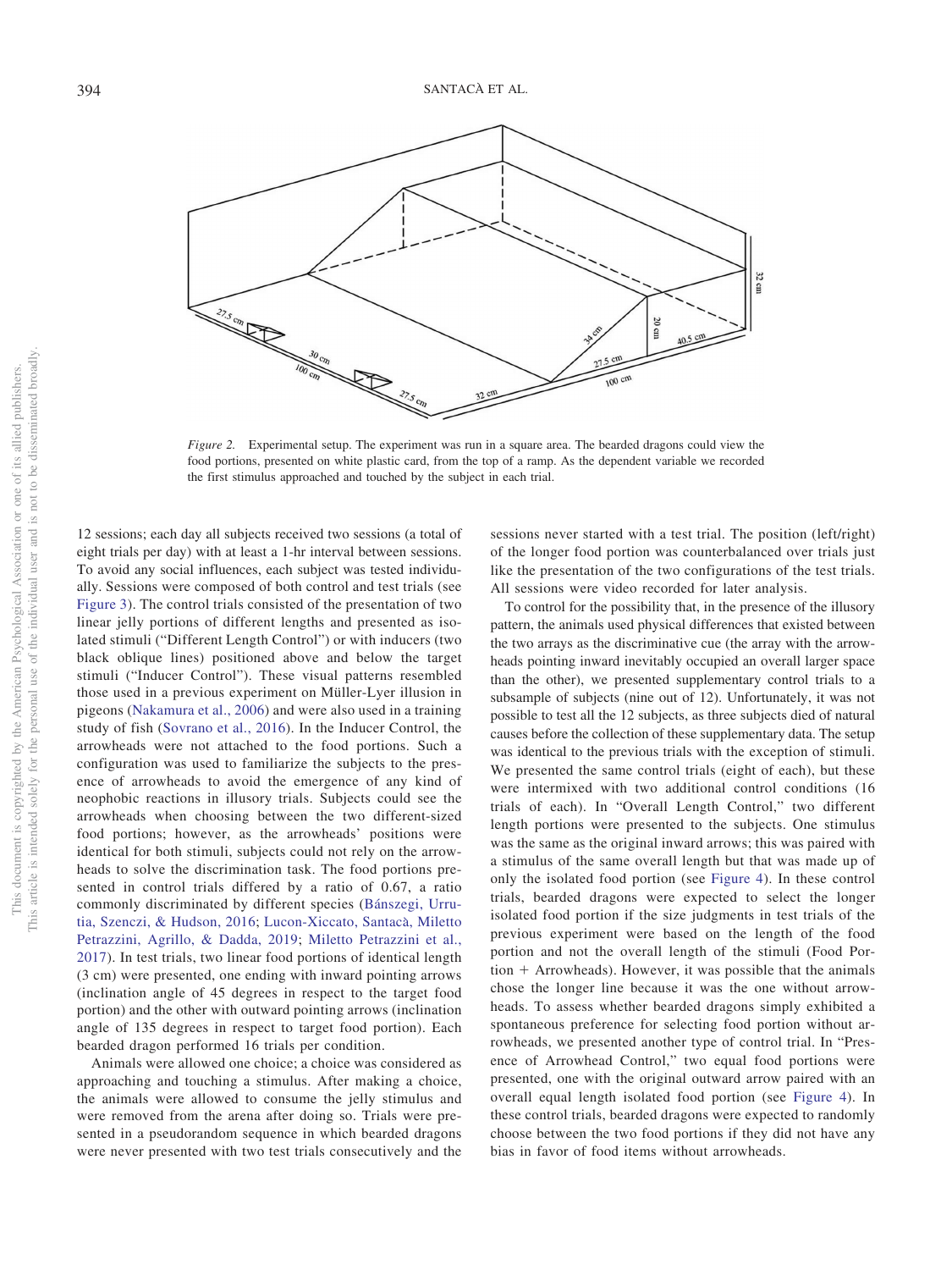

*Figure 2.* Experimental setup. The experiment was run in a square area. The bearded dragons could view the food portions, presented on white plastic card, from the top of a ramp. As the dependent variable we recorded the first stimulus approached and touched by the subject in each trial.

12 sessions; each day all subjects received two sessions (a total of eight trials per day) with at least a 1-hr interval between sessions. To avoid any social influences, each subject was tested individually. Sessions were composed of both control and test trials (see Figure 3). The control trials consisted of the presentation of two linear jelly portions of different lengths and presented as isolated stimuli ("Different Length Control") or with inducers (two black oblique lines) positioned above and below the target stimuli ("Inducer Control"). These visual patterns resembled those used in a previous experiment on Müller-Lyer illusion in pigeons (Nakamura et al., 2006) and were also used in a training study of fish (Sovrano et al., 2016). In the Inducer Control, the arrowheads were not attached to the food portions. Such a configuration was used to familiarize the subjects to the presence of arrowheads to avoid the emergence of any kind of neophobic reactions in illusory trials. Subjects could see the arrowheads when choosing between the two different-sized food portions; however, as the arrowheads' positions were identical for both stimuli, subjects could not rely on the arrowheads to solve the discrimination task. The food portions presented in control trials differed by a ratio of 0.67, a ratio commonly discriminated by different species (Bánszegi, Urrutia, Szenczi, & Hudson, 2016; Lucon-Xiccato, Santacà, Miletto Petrazzini, Agrillo, & Dadda, 2019; Miletto Petrazzini et al., 2017). In test trials, two linear food portions of identical length (3 cm) were presented, one ending with inward pointing arrows (inclination angle of 45 degrees in respect to the target food portion) and the other with outward pointing arrows (inclination angle of 135 degrees in respect to target food portion). Each bearded dragon performed 16 trials per condition.

Animals were allowed one choice; a choice was considered as approaching and touching a stimulus. After making a choice, the animals were allowed to consume the jelly stimulus and were removed from the arena after doing so. Trials were presented in a pseudorandom sequence in which bearded dragons were never presented with two test trials consecutively and the sessions never started with a test trial. The position (left/right) of the longer food portion was counterbalanced over trials just like the presentation of the two configurations of the test trials. All sessions were video recorded for later analysis.

To control for the possibility that, in the presence of the illusory pattern, the animals used physical differences that existed between the two arrays as the discriminative cue (the array with the arrowheads pointing inward inevitably occupied an overall larger space than the other), we presented supplementary control trials to a subsample of subjects (nine out of 12). Unfortunately, it was not possible to test all the 12 subjects, as three subjects died of natural causes before the collection of these supplementary data. The setup was identical to the previous trials with the exception of stimuli. We presented the same control trials (eight of each), but these were intermixed with two additional control conditions (16 trials of each). In "Overall Length Control," two different length portions were presented to the subjects. One stimulus was the same as the original inward arrows; this was paired with a stimulus of the same overall length but that was made up of only the isolated food portion (see Figure 4). In these control trials, bearded dragons were expected to select the longer isolated food portion if the size judgments in test trials of the previous experiment were based on the length of the food portion and not the overall length of the stimuli (Food Por $tion + Arrowheads$ . However, it was possible that the animals chose the longer line because it was the one without arrowheads. To assess whether bearded dragons simply exhibited a spontaneous preference for selecting food portion without arrowheads, we presented another type of control trial. In "Presence of Arrowhead Control," two equal food portions were presented, one with the original outward arrow paired with an overall equal length isolated food portion (see Figure 4). In these control trials, bearded dragons were expected to randomly choose between the two food portions if they did not have any bias in favor of food items without arrowheads.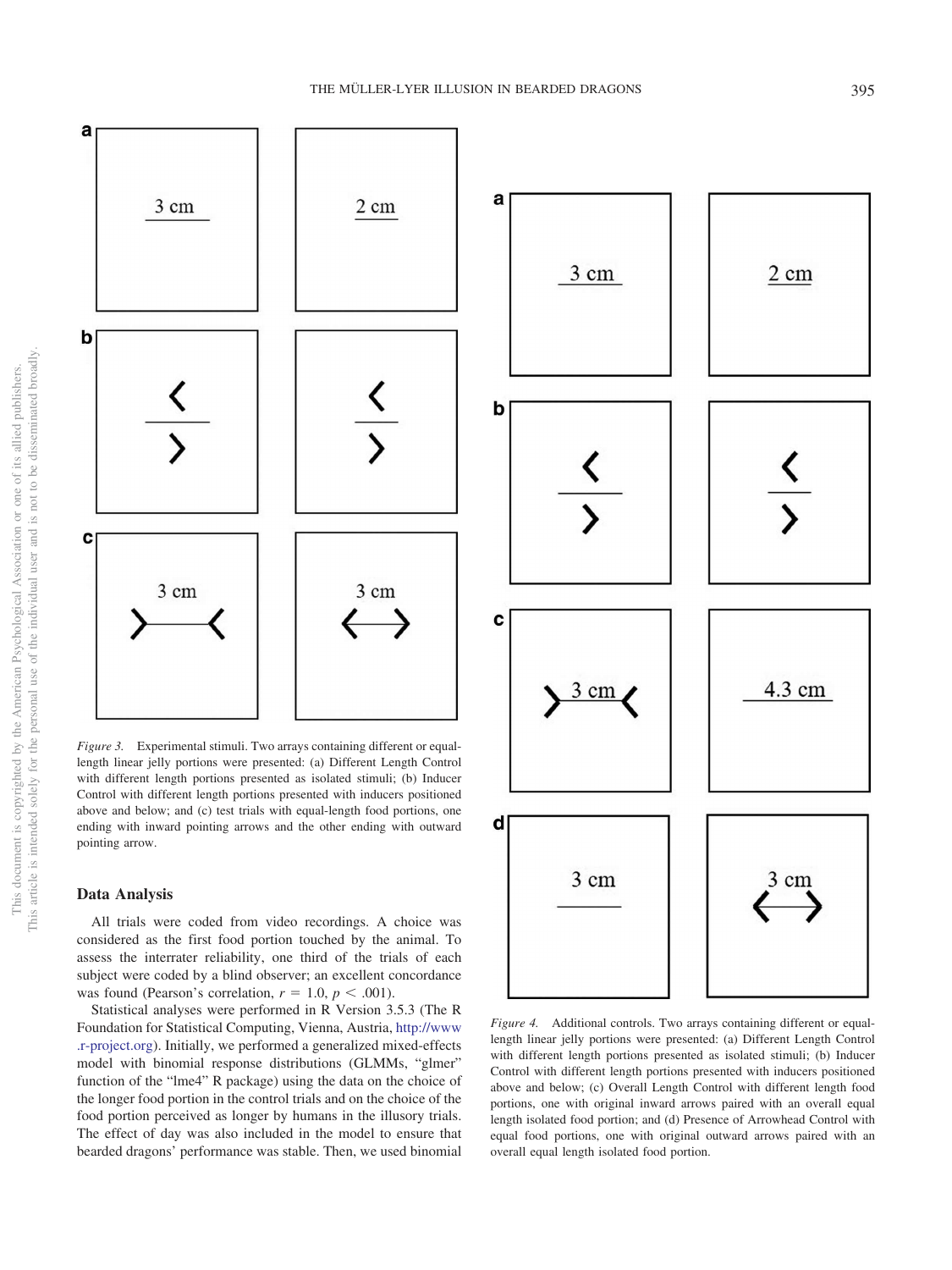

*Figure 3.* Experimental stimuli. Two arrays containing different or equallength linear jelly portions were presented: (a) Different Length Control with different length portions presented as isolated stimuli; (b) Inducer Control with different length portions presented with inducers positioned above and below; and (c) test trials with equal-length food portions, one ending with inward pointing arrows and the other ending with outward pointing arrow.

## **Data Analysis**

All trials were coded from video recordings. A choice was considered as the first food portion touched by the animal. To assess the interrater reliability, one third of the trials of each subject were coded by a blind observer; an excellent concordance was found (Pearson's correlation,  $r = 1.0$ ,  $p < .001$ ).

Statistical analyses were performed in R Version 3.5.3 (The R Foundation for Statistical Computing, Vienna, Austria, http://www .r-project.org). Initially, we performed a generalized mixed-effects model with binomial response distributions (GLMMs, "glmer" function of the "lme4" R package) using the data on the choice of the longer food portion in the control trials and on the choice of the food portion perceived as longer by humans in the illusory trials. The effect of day was also included in the model to ensure that bearded dragons' performance was stable. Then, we used binomial



*Figure 4.* Additional controls. Two arrays containing different or equallength linear jelly portions were presented: (a) Different Length Control with different length portions presented as isolated stimuli; (b) Inducer Control with different length portions presented with inducers positioned above and below; (c) Overall Length Control with different length food portions, one with original inward arrows paired with an overall equal length isolated food portion; and (d) Presence of Arrowhead Control with equal food portions, one with original outward arrows paired with an overall equal length isolated food portion.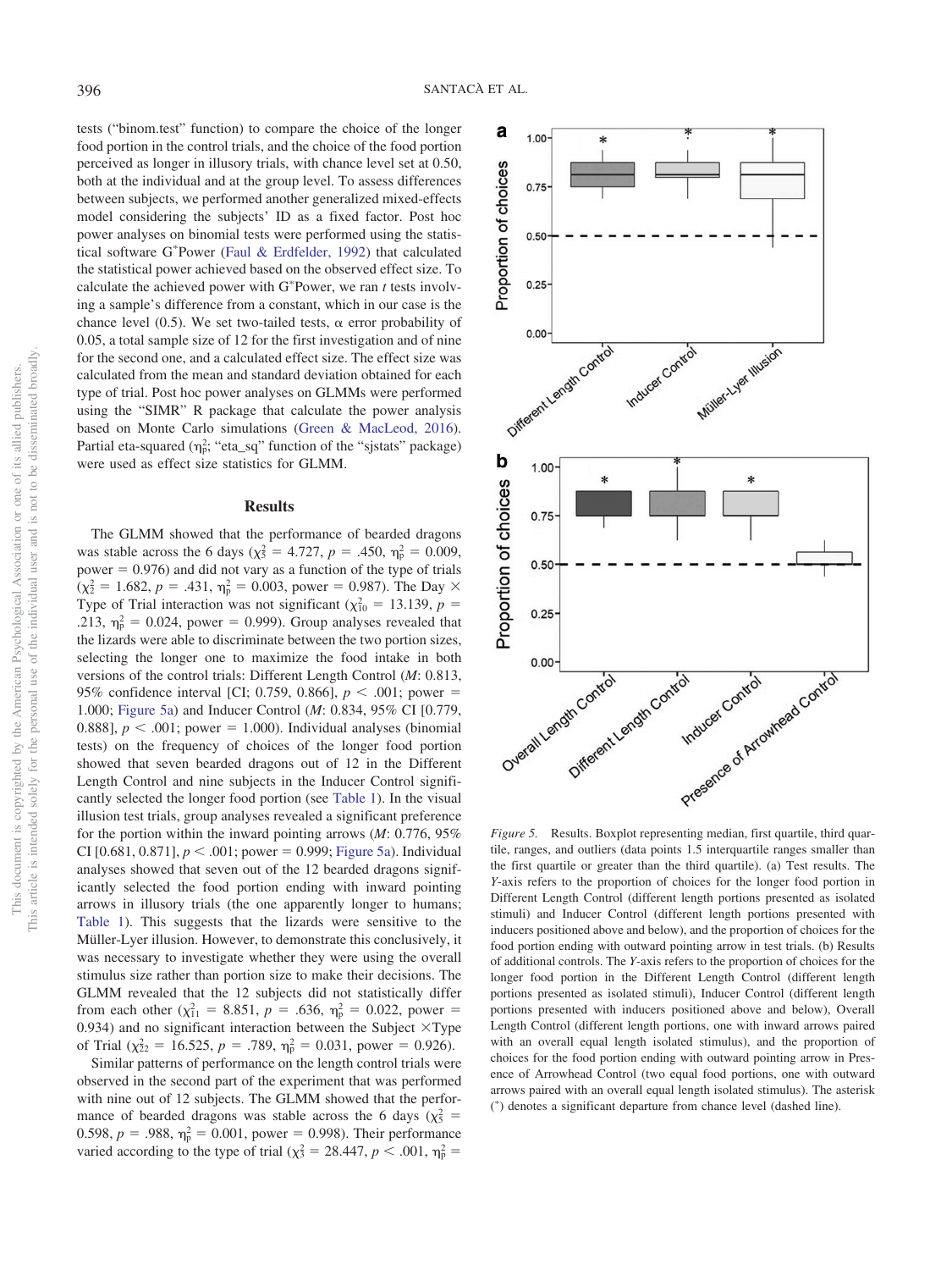tests ("binom.test" function) to compare the choice of the longer food portion in the control trials, and the choice of the food portion perceived as longer in illusory trials, with chance level set at 0.50, both at the individual and at the group level. To assess differences between subjects, we performed another generalized mixed-effects model considering the subjects' ID as a fixed factor. Post hoc power analyses on binomial tests were performed using the statistical software G\*Power (Faul & Erdfelder, 1992) that calculated the statistical power achieved based on the observed effect size. To calculate the achieved power with  $G^*$ Power, we ran *t* tests involving a sample's difference from a constant, which in our case is the chance level (0.5). We set two-tailed tests,  $\alpha$  error probability of 0.05, a total sample size of 12 for the first investigation and of nine for the second one, and a calculated effect size. The effect size was calculated from the mean and standard deviation obtained for each type of trial. Post hoc power analyses on GLMMs were performed using the "SIMR" R package that calculate the power analysis based on Monte Carlo simulations (Green & MacLeod, 2016). Partial eta-squared  $(\eta_p^2, "eta_sq"$  function of the "sjstats" package) were used as effect size statistics for GLMM.

#### **Results**

The GLMM showed that the performance of bearded dragons was stable across the 6 days ( $\chi^2$  = 4.727, *p* = .450,  $\eta^2$  = 0.009, power  $= 0.976$ ) and did not vary as a function of the type of trials  $(\chi^2 = 1.682, p = .431, \eta^2 = 0.003, power = 0.987)$ . The Day  $\times$ Type of Trial interaction was not significant ( $\chi^2_{10} = 13.139$ ,  $p =$ .213,  $\eta_p^2 = 0.024$ , power = 0.999). Group analyses revealed that the lizards were able to discriminate between the two portion sizes, selecting the longer one to maximize the food intake in both versions of the control trials: Different Length Control (*M*: 0.813, 95% confidence interval [CI; 0.759, 0.866],  $p < .001$ ; power = 1.000; Figure 5a) and Inducer Control (*M*: 0.834, 95% CI [0.779, 0.888],  $p < .001$ ; power = 1.000). Individual analyses (binomial tests) on the frequency of choices of the longer food portion showed that seven bearded dragons out of 12 in the Different Length Control and nine subjects in the Inducer Control significantly selected the longer food portion (see Table 1). In the visual illusion test trials, group analyses revealed a significant preference for the portion within the inward pointing arrows (*M*: 0.776, 95% CI [0.681, 0.871],  $p < .001$ ; power = 0.999; Figure 5a). Individual analyses showed that seven out of the 12 bearded dragons significantly selected the food portion ending with inward pointing arrows in illusory trials (the one apparently longer to humans; Table 1). This suggests that the lizards were sensitive to the Müller-Lyer illusion. However, to demonstrate this conclusively, it was necessary to investigate whether they were using the overall stimulus size rather than portion size to make their decisions. The GLMM revealed that the 12 subjects did not statistically differ from each other  $(\chi_{11}^2 = 8.851, p = .636, \eta_p^2 = 0.022, power =$ 0.934) and no significant interaction between the Subject  $\times$ Type of Trial ( $\chi_{22}^2 = 16.525$ ,  $p = .789$ ,  $\eta_p^2 = 0.031$ , power = 0.926).

Similar patterns of performance on the length control trials were observed in the second part of the experiment that was performed with nine out of 12 subjects. The GLMM showed that the performance of bearded dragons was stable across the 6 days ( $\chi^2$  = 0.598,  $p = 0.988$ ,  $\eta_p^2 = 0.001$ , power = 0.998). Their performance varied according to the type of trial ( $\chi^2 = 28.447$ ,  $p < .001$ ,  $\eta^2 =$ 



*Figure 5.* Results. Boxplot representing median, first quartile, third quartile, ranges, and outliers (data points 1.5 interquartile ranges smaller than the first quartile or greater than the third quartile). (a) Test results. The *Y*-axis refers to the proportion of choices for the longer food portion in Different Length Control (different length portions presented as isolated stimuli) and Inducer Control (different length portions presented with inducers positioned above and below), and the proportion of choices for the food portion ending with outward pointing arrow in test trials. (b) Results of additional controls. The *Y*-axis refers to the proportion of choices for the longer food portion in the Different Length Control (different length portions presented as isolated stimuli), Inducer Control (different length portions presented with inducers positioned above and below), Overall Length Control (different length portions, one with inward arrows paired with an overall equal length isolated stimulus), and the proportion of choices for the food portion ending with outward pointing arrow in Presence of Arrowhead Control (two equal food portions, one with outward arrows paired with an overall equal length isolated stimulus). The asterisk ( - ) denotes a significant departure from chance level (dashed line).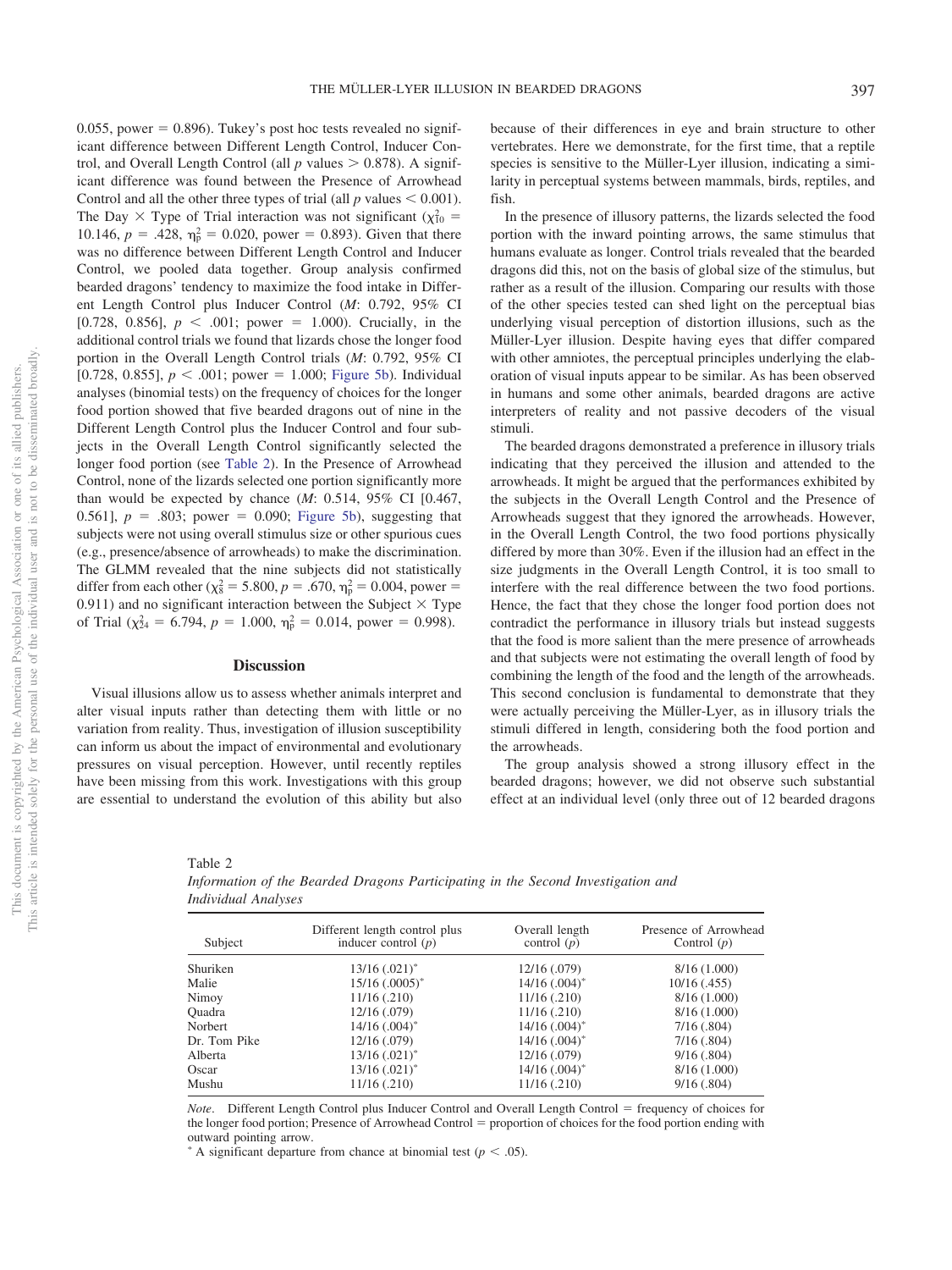0.055, power  $= 0.896$ ). Tukey's post hoc tests revealed no significant difference between Different Length Control, Inducer Control, and Overall Length Control (all  $p$  values  $> 0.878$ ). A significant difference was found between the Presence of Arrowhead Control and all the other three types of trial (all  $p$  values  $\leq 0.001$ ). The Day  $\times$  Type of Trial interaction was not significant ( $\chi_{10}^2$  = 10.146,  $p = .428$ ,  $\eta_p^2 = 0.020$ , power = 0.893). Given that there was no difference between Different Length Control and Inducer Control, we pooled data together. Group analysis confirmed bearded dragons' tendency to maximize the food intake in Different Length Control plus Inducer Control (*M*: 0.792, 95% CI [0.728, 0.856],  $p < .001$ ; power = 1.000). Crucially, in the additional control trials we found that lizards chose the longer food portion in the Overall Length Control trials (*M*: 0.792, 95% CI [0.728, 0.855],  $p < .001$ ; power = 1.000; Figure 5b). Individual analyses (binomial tests) on the frequency of choices for the longer food portion showed that five bearded dragons out of nine in the Different Length Control plus the Inducer Control and four subjects in the Overall Length Control significantly selected the longer food portion (see Table 2). In the Presence of Arrowhead Control, none of the lizards selected one portion significantly more than would be expected by chance (*M*: 0.514, 95% CI [0.467, 0.561],  $p = .803$ ; power = 0.090; Figure 5b), suggesting that subjects were not using overall stimulus size or other spurious cues (e.g., presence/absence of arrowheads) to make the discrimination. The GLMM revealed that the nine subjects did not statistically differ from each other ( $\chi^2$  = 5.800, *p* = .670,  $\eta^2$  = 0.004, power = 0.911) and no significant interaction between the Subject  $\times$  Type of Trial ( $\chi^2_{24} = 6.794$ ,  $p = 1.000$ ,  $\eta_p^2 = 0.014$ , power = 0.998).

### **Discussion**

Visual illusions allow us to assess whether animals interpret and alter visual inputs rather than detecting them with little or no variation from reality. Thus, investigation of illusion susceptibility can inform us about the impact of environmental and evolutionary pressures on visual perception. However, until recently reptiles have been missing from this work. Investigations with this group are essential to understand the evolution of this ability but also because of their differences in eye and brain structure to other vertebrates. Here we demonstrate, for the first time, that a reptile species is sensitive to the Müller-Lyer illusion, indicating a similarity in perceptual systems between mammals, birds, reptiles, and fish.

In the presence of illusory patterns, the lizards selected the food portion with the inward pointing arrows, the same stimulus that humans evaluate as longer. Control trials revealed that the bearded dragons did this, not on the basis of global size of the stimulus, but rather as a result of the illusion. Comparing our results with those of the other species tested can shed light on the perceptual bias underlying visual perception of distortion illusions, such as the Müller-Lyer illusion. Despite having eyes that differ compared with other amniotes, the perceptual principles underlying the elaboration of visual inputs appear to be similar. As has been observed in humans and some other animals, bearded dragons are active interpreters of reality and not passive decoders of the visual stimuli.

The bearded dragons demonstrated a preference in illusory trials indicating that they perceived the illusion and attended to the arrowheads. It might be argued that the performances exhibited by the subjects in the Overall Length Control and the Presence of Arrowheads suggest that they ignored the arrowheads. However, in the Overall Length Control, the two food portions physically differed by more than 30%. Even if the illusion had an effect in the size judgments in the Overall Length Control, it is too small to interfere with the real difference between the two food portions. Hence, the fact that they chose the longer food portion does not contradict the performance in illusory trials but instead suggests that the food is more salient than the mere presence of arrowheads and that subjects were not estimating the overall length of food by combining the length of the food and the length of the arrowheads. This second conclusion is fundamental to demonstrate that they were actually perceiving the Müller-Lyer, as in illusory trials the stimuli differed in length, considering both the food portion and the arrowheads.

The group analysis showed a strong illusory effect in the bearded dragons; however, we did not observe such substantial effect at an individual level (only three out of 12 bearded dragons

| Table 2                                                                          |
|----------------------------------------------------------------------------------|
| Information of the Bearded Dragons Participating in the Second Investigation and |
| Individual Analyses                                                              |

| Subject      | Different length control plus<br>inducer control $(p)$ | Overall length<br>control $(p)$ | Presence of Arrowhead<br>Control $(p)$ |
|--------------|--------------------------------------------------------|---------------------------------|----------------------------------------|
| Shuriken     | $13/16$ $(.021)^*$                                     | 12/16(.079)                     | 8/16(1.000)                            |
| Malie        | $15/16$ $(.0005)^*$                                    | $14/16$ $(.004)^*$              | $10/16$ (.455)                         |
| Nimoy        | 11/16(.210)                                            | 11/16(.210)                     | 8/16(1.000)                            |
| Ouadra       | 12/16 (.079)                                           | 11/16(.210)                     | 8/16(1.000)                            |
| Norbert      | $14/16$ $(.004)^*$                                     | $14/16$ $(.004)^*$              | 7/16(.804)                             |
| Dr. Tom Pike | 12/16 (.079)                                           | $14/16$ $(.004)^*$              | 7/16(.804)                             |
| Alberta      | $13/16$ $(.021)^*$                                     | 12/16(.079)                     | 9/16(.804)                             |
| Oscar        | $13/16$ $(.021)^*$                                     | $14/16$ $(.004)^*$              | 8/16(1.000)                            |
| Mushu        | 11/16 (.210)                                           | 11/16(.210)                     | 9/16(.804)                             |

*Note.* Different Length Control plus Inducer Control and Overall Length Control = frequency of choices for the longer food portion; Presence of Arrowhead Control = proportion of choices for the food portion ending with outward pointing arrow.

A significant departure from chance at binomial test  $(p < .05)$ .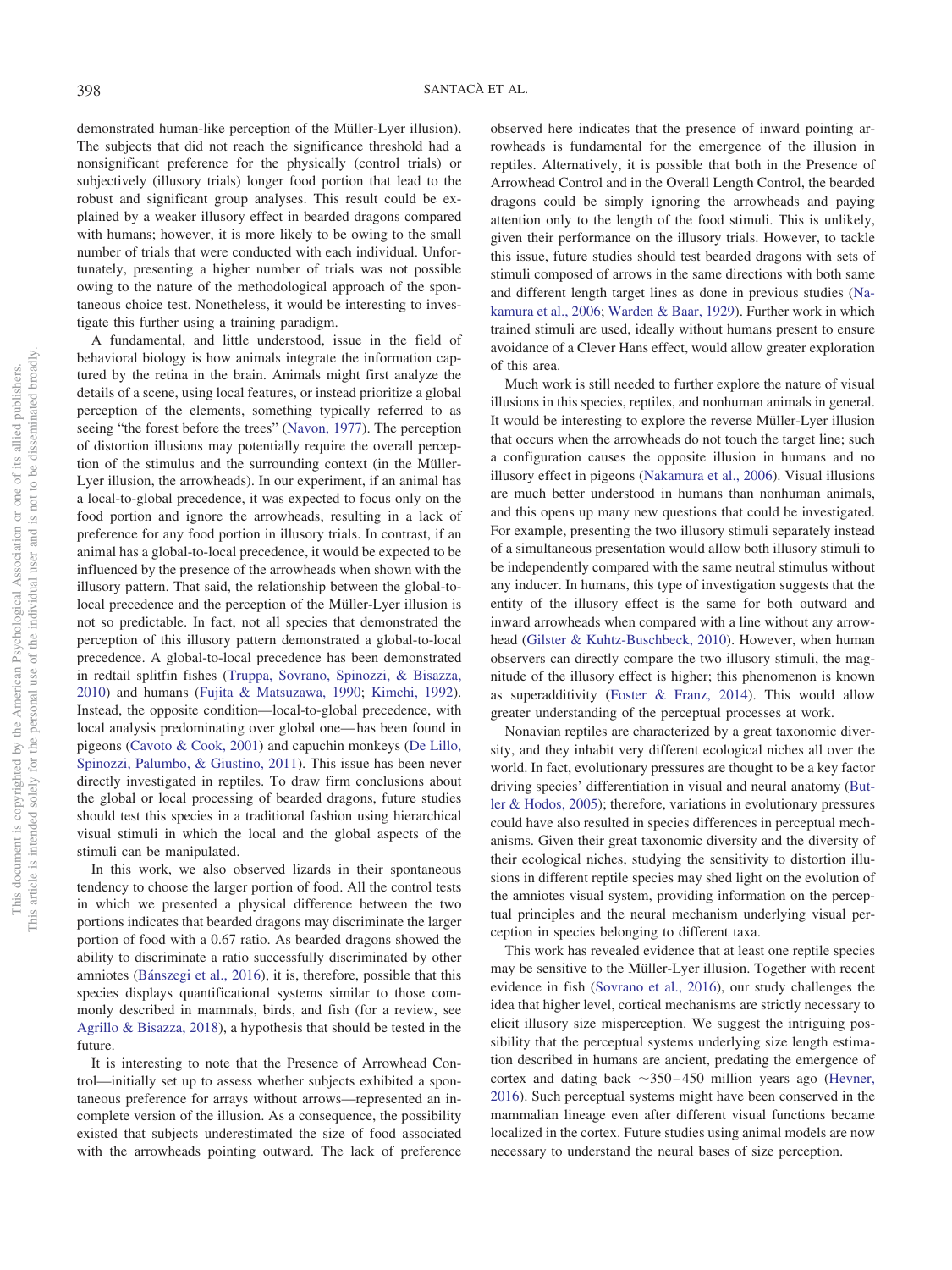demonstrated human-like perception of the Müller-Lyer illusion). The subjects that did not reach the significance threshold had a nonsignificant preference for the physically (control trials) or subjectively (illusory trials) longer food portion that lead to the robust and significant group analyses. This result could be explained by a weaker illusory effect in bearded dragons compared with humans; however, it is more likely to be owing to the small number of trials that were conducted with each individual. Unfortunately, presenting a higher number of trials was not possible owing to the nature of the methodological approach of the spontaneous choice test. Nonetheless, it would be interesting to investigate this further using a training paradigm.

A fundamental, and little understood, issue in the field of behavioral biology is how animals integrate the information captured by the retina in the brain. Animals might first analyze the details of a scene, using local features, or instead prioritize a global perception of the elements, something typically referred to as seeing "the forest before the trees" (Navon, 1977). The perception of distortion illusions may potentially require the overall perception of the stimulus and the surrounding context (in the Müller-Lyer illusion, the arrowheads). In our experiment, if an animal has a local-to-global precedence, it was expected to focus only on the food portion and ignore the arrowheads, resulting in a lack of preference for any food portion in illusory trials. In contrast, if an animal has a global-to-local precedence, it would be expected to be influenced by the presence of the arrowheads when shown with the illusory pattern. That said, the relationship between the global-tolocal precedence and the perception of the Müller-Lyer illusion is not so predictable. In fact, not all species that demonstrated the perception of this illusory pattern demonstrated a global-to-local precedence. A global-to-local precedence has been demonstrated in redtail splitfin fishes (Truppa, Sovrano, Spinozzi, & Bisazza, 2010) and humans (Fujita & Matsuzawa, 1990; Kimchi, 1992). Instead, the opposite condition—local-to-global precedence, with local analysis predominating over global one— has been found in pigeons (Cavoto & Cook, 2001) and capuchin monkeys (De Lillo, Spinozzi, Palumbo, & Giustino, 2011). This issue has been never directly investigated in reptiles. To draw firm conclusions about the global or local processing of bearded dragons, future studies should test this species in a traditional fashion using hierarchical visual stimuli in which the local and the global aspects of the stimuli can be manipulated.

In this work, we also observed lizards in their spontaneous tendency to choose the larger portion of food. All the control tests in which we presented a physical difference between the two portions indicates that bearded dragons may discriminate the larger portion of food with a 0.67 ratio. As bearded dragons showed the ability to discriminate a ratio successfully discriminated by other amniotes (Bánszegi et al., 2016), it is, therefore, possible that this species displays quantificational systems similar to those commonly described in mammals, birds, and fish (for a review, see Agrillo & Bisazza, 2018), a hypothesis that should be tested in the future.

It is interesting to note that the Presence of Arrowhead Control—initially set up to assess whether subjects exhibited a spontaneous preference for arrays without arrows—represented an incomplete version of the illusion. As a consequence, the possibility existed that subjects underestimated the size of food associated with the arrowheads pointing outward. The lack of preference observed here indicates that the presence of inward pointing arrowheads is fundamental for the emergence of the illusion in reptiles. Alternatively, it is possible that both in the Presence of Arrowhead Control and in the Overall Length Control, the bearded dragons could be simply ignoring the arrowheads and paying attention only to the length of the food stimuli. This is unlikely, given their performance on the illusory trials. However, to tackle this issue, future studies should test bearded dragons with sets of stimuli composed of arrows in the same directions with both same and different length target lines as done in previous studies (Nakamura et al., 2006; Warden & Baar, 1929). Further work in which trained stimuli are used, ideally without humans present to ensure avoidance of a Clever Hans effect, would allow greater exploration of this area.

Much work is still needed to further explore the nature of visual illusions in this species, reptiles, and nonhuman animals in general. It would be interesting to explore the reverse Müller-Lyer illusion that occurs when the arrowheads do not touch the target line; such a configuration causes the opposite illusion in humans and no illusory effect in pigeons (Nakamura et al., 2006). Visual illusions are much better understood in humans than nonhuman animals, and this opens up many new questions that could be investigated. For example, presenting the two illusory stimuli separately instead of a simultaneous presentation would allow both illusory stimuli to be independently compared with the same neutral stimulus without any inducer. In humans, this type of investigation suggests that the entity of the illusory effect is the same for both outward and inward arrowheads when compared with a line without any arrowhead (Gilster & Kuhtz-Buschbeck, 2010). However, when human observers can directly compare the two illusory stimuli, the magnitude of the illusory effect is higher; this phenomenon is known as superadditivity (Foster & Franz, 2014). This would allow greater understanding of the perceptual processes at work.

Nonavian reptiles are characterized by a great taxonomic diversity, and they inhabit very different ecological niches all over the world. In fact, evolutionary pressures are thought to be a key factor driving species' differentiation in visual and neural anatomy (Butler & Hodos, 2005); therefore, variations in evolutionary pressures could have also resulted in species differences in perceptual mechanisms. Given their great taxonomic diversity and the diversity of their ecological niches, studying the sensitivity to distortion illusions in different reptile species may shed light on the evolution of the amniotes visual system, providing information on the perceptual principles and the neural mechanism underlying visual perception in species belonging to different taxa.

This work has revealed evidence that at least one reptile species may be sensitive to the Müller-Lyer illusion. Together with recent evidence in fish (Sovrano et al., 2016), our study challenges the idea that higher level, cortical mechanisms are strictly necessary to elicit illusory size misperception. We suggest the intriguing possibility that the perceptual systems underlying size length estimation described in humans are ancient, predating the emergence of cortex and dating back  $\sim$ 350 – 450 million years ago (Hevner, 2016). Such perceptual systems might have been conserved in the mammalian lineage even after different visual functions became localized in the cortex. Future studies using animal models are now necessary to understand the neural bases of size perception.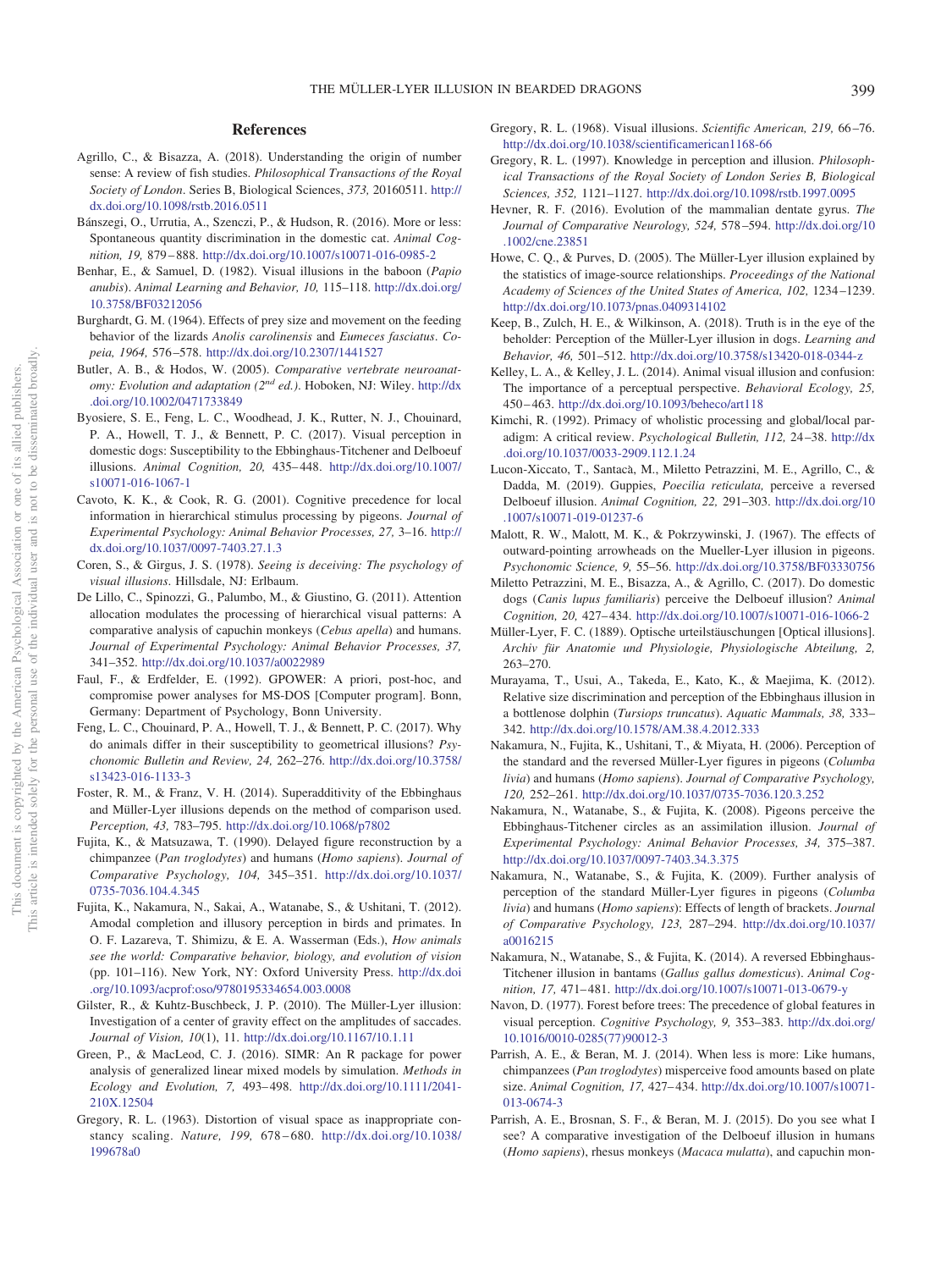## **References**

- Agrillo, C., & Bisazza, A. (2018). Understanding the origin of number sense: A review of fish studies. *Philosophical Transactions of the Royal Society of London*. Series B, Biological Sciences, *373,* 20160511. http:// dx.doi.org/10.1098/rstb.2016.0511
- Bánszegi, O., Urrutia, A., Szenczi, P., & Hudson, R. (2016). More or less: Spontaneous quantity discrimination in the domestic cat. *Animal Cognition, 19,* 879 – 888. http://dx.doi.org/10.1007/s10071-016-0985-2
- Benhar, E., & Samuel, D. (1982). Visual illusions in the baboon (*Papio anubis*). *Animal Learning and Behavior, 10,* 115–118. http://dx.doi.org/ 10.3758/BF03212056
- Burghardt, G. M. (1964). Effects of prey size and movement on the feeding behavior of the lizards *Anolis carolinensis* and *Eumeces fasciatus*. *Copeia, 1964,* 576 –578. http://dx.doi.org/10.2307/1441527
- Butler, A. B., & Hodos, W. (2005). *Comparative vertebrate neuroanatomy: Evolution and adaptation (2nd ed.)*. Hoboken, NJ: Wiley. http://dx .doi.org/10.1002/0471733849
- Byosiere, S. E., Feng, L. C., Woodhead, J. K., Rutter, N. J., Chouinard, P. A., Howell, T. J., & Bennett, P. C. (2017). Visual perception in domestic dogs: Susceptibility to the Ebbinghaus-Titchener and Delboeuf illusions. *Animal Cognition, 20,* 435– 448. http://dx.doi.org/10.1007/ s10071-016-1067-1
- Cavoto, K. K., & Cook, R. G. (2001). Cognitive precedence for local information in hierarchical stimulus processing by pigeons. *Journal of Experimental Psychology: Animal Behavior Processes, 27,* 3–16. http:// dx.doi.org/10.1037/0097-7403.27.1.3
- Coren, S., & Girgus, J. S. (1978). *Seeing is deceiving: The psychology of visual illusions*. Hillsdale, NJ: Erlbaum.
- De Lillo, C., Spinozzi, G., Palumbo, M., & Giustino, G. (2011). Attention allocation modulates the processing of hierarchical visual patterns: A comparative analysis of capuchin monkeys (*Cebus apella*) and humans. *Journal of Experimental Psychology: Animal Behavior Processes, 37,* 341–352. http://dx.doi.org/10.1037/a0022989
- Faul, F., & Erdfelder, E. (1992). GPOWER: A priori, post-hoc, and compromise power analyses for MS-DOS [Computer program]. Bonn, Germany: Department of Psychology, Bonn University.
- Feng, L. C., Chouinard, P. A., Howell, T. J., & Bennett, P. C. (2017). Why do animals differ in their susceptibility to geometrical illusions? *Psychonomic Bulletin and Review, 24,* 262–276. http://dx.doi.org/10.3758/ s13423-016-1133-3
- Foster, R. M., & Franz, V. H. (2014). Superadditivity of the Ebbinghaus and Müller-Lyer illusions depends on the method of comparison used. *Perception, 43,* 783–795. http://dx.doi.org/10.1068/p7802
- Fujita, K., & Matsuzawa, T. (1990). Delayed figure reconstruction by a chimpanzee (*Pan troglodytes*) and humans (*Homo sapiens*). *Journal of Comparative Psychology, 104,* 345–351. http://dx.doi.org/10.1037/ 0735-7036.104.4.345
- Fujita, K., Nakamura, N., Sakai, A., Watanabe, S., & Ushitani, T. (2012). Amodal completion and illusory perception in birds and primates. In O. F. Lazareva, T. Shimizu, & E. A. Wasserman (Eds.), *How animals see the world: Comparative behavior, biology, and evolution of vision* (pp. 101–116). New York, NY: Oxford University Press. http://dx.doi .org/10.1093/acprof:oso/9780195334654.003.0008
- Gilster, R., & Kuhtz-Buschbeck, J. P. (2010). The Müller-Lyer illusion: Investigation of a center of gravity effect on the amplitudes of saccades. *Journal of Vision, 10*(1), 11. http://dx.doi.org/10.1167/10.1.11
- Green, P., & MacLeod, C. J. (2016). SIMR: An R package for power analysis of generalized linear mixed models by simulation. *Methods in Ecology and Evolution, 7,* 493– 498. http://dx.doi.org/10.1111/2041- 210X.12504
- Gregory, R. L. (1963). Distortion of visual space as inappropriate constancy scaling. *Nature, 199,* 678 – 680. http://dx.doi.org/10.1038/ 199678a0
- Gregory, R. L. (1968). Visual illusions. *Scientific American, 219,* 66 –76. http://dx.doi.org/10.1038/scientificamerican1168-66
- Gregory, R. L. (1997). Knowledge in perception and illusion. *Philosophical Transactions of the Royal Society of London Series B, Biological Sciences, 352,* 1121–1127. http://dx.doi.org/10.1098/rstb.1997.0095
- Hevner, R. F. (2016). Evolution of the mammalian dentate gyrus. *The Journal of Comparative Neurology, 524,* 578 –594. http://dx.doi.org/10 .1002/cne.23851
- Howe, C. Q., & Purves, D. (2005). The Müller-Lyer illusion explained by the statistics of image-source relationships. *Proceedings of the National Academy of Sciences of the United States of America, 102,* 1234 –1239. http://dx.doi.org/10.1073/pnas.0409314102
- Keep, B., Zulch, H. E., & Wilkinson, A. (2018). Truth is in the eye of the beholder: Perception of the Müller-Lyer illusion in dogs. *Learning and Behavior, 46,* 501–512. http://dx.doi.org/10.3758/s13420-018-0344-z
- Kelley, L. A., & Kelley, J. L. (2014). Animal visual illusion and confusion: The importance of a perceptual perspective. *Behavioral Ecology, 25,* 450 – 463. http://dx.doi.org/10.1093/beheco/art118
- Kimchi, R. (1992). Primacy of wholistic processing and global/local paradigm: A critical review. *Psychological Bulletin, 112,* 24 –38. http://dx .doi.org/10.1037/0033-2909.112.1.24
- Lucon-Xiccato, T., Santacà, M., Miletto Petrazzini, M. E., Agrillo, C., & Dadda, M. (2019). Guppies, *Poecilia reticulata,* perceive a reversed Delboeuf illusion. *Animal Cognition, 22,* 291–303. http://dx.doi.org/10 .1007/s10071-019-01237-6
- Malott, R. W., Malott, M. K., & Pokrzywinski, J. (1967). The effects of outward-pointing arrowheads on the Mueller-Lyer illusion in pigeons. *Psychonomic Science, 9,* 55–56. http://dx.doi.org/10.3758/BF03330756
- Miletto Petrazzini, M. E., Bisazza, A., & Agrillo, C. (2017). Do domestic dogs (*Canis lupus familiaris*) perceive the Delboeuf illusion? *Animal Cognition, 20,* 427– 434. http://dx.doi.org/10.1007/s10071-016-1066-2
- Müller-Lyer, F. C. (1889). Optische urteilstäuschungen [Optical illusions]. *Archiv für Anatomie und Physiologie, Physiologische Abteilung, 2,* 263–270.
- Murayama, T., Usui, A., Takeda, E., Kato, K., & Maejima, K. (2012). Relative size discrimination and perception of the Ebbinghaus illusion in a bottlenose dolphin (*Tursiops truncatus*). *Aquatic Mammals, 38,* 333– 342. http://dx.doi.org/10.1578/AM.38.4.2012.333
- Nakamura, N., Fujita, K., Ushitani, T., & Miyata, H. (2006). Perception of the standard and the reversed Müller-Lyer figures in pigeons (*Columba livia*) and humans (*Homo sapiens*). *Journal of Comparative Psychology, 120,* 252–261. http://dx.doi.org/10.1037/0735-7036.120.3.252
- Nakamura, N., Watanabe, S., & Fujita, K. (2008). Pigeons perceive the Ebbinghaus-Titchener circles as an assimilation illusion. *Journal of Experimental Psychology: Animal Behavior Processes, 34,* 375–387. http://dx.doi.org/10.1037/0097-7403.34.3.375
- Nakamura, N., Watanabe, S., & Fujita, K. (2009). Further analysis of perception of the standard Müller-Lyer figures in pigeons (*Columba livia*) and humans (*Homo sapiens*): Effects of length of brackets. *Journal of Comparative Psychology, 123,* 287–294. http://dx.doi.org/10.1037/ a0016215
- Nakamura, N., Watanabe, S., & Fujita, K. (2014). A reversed Ebbinghaus-Titchener illusion in bantams (*Gallus gallus domesticus*). *Animal Cognition, 17,* 471– 481. http://dx.doi.org/10.1007/s10071-013-0679-y
- Navon, D. (1977). Forest before trees: The precedence of global features in visual perception. *Cognitive Psychology, 9,* 353–383. http://dx.doi.org/ 10.1016/0010-0285(77)90012-3
- Parrish, A. E., & Beran, M. J. (2014). When less is more: Like humans, chimpanzees (*Pan troglodytes*) misperceive food amounts based on plate size. *Animal Cognition, 17,* 427– 434. http://dx.doi.org/10.1007/s10071- 013-0674-3
- Parrish, A. E., Brosnan, S. F., & Beran, M. J. (2015). Do you see what I see? A comparative investigation of the Delboeuf illusion in humans (*Homo sapiens*), rhesus monkeys (*Macaca mulatta*), and capuchin mon-